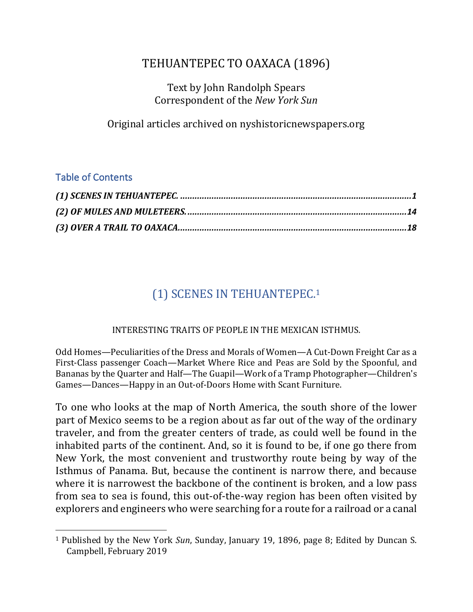# TEHUANTEPEC TO OAXACA (1896)

Text by John Randolph Spears Correspondent of the *New York Sun* 

Original articles archived on nyshistoricnewspapers.org

### Table of Contents

 $\overline{a}$ 

# (1) SCENES IN TEHUANTEPEC.<sup>1</sup>

#### INTERESTING TRAITS OF PEOPLE IN THE MEXICAN ISTHMUS.

Odd Homes—Peculiarities of the Dress and Morals of Women—A Cut-Down Freight Car as a First-Class passenger Coach—Market Where Rice and Peas are Sold by the Spoonful, and Bananas by the Quarter and Half—The Guapil—Work of a Tramp Photographer—Children's Games—Dances—Happy in an Out-of-Doors Home with Scant Furniture.

To one who looks at the map of North America, the south shore of the lower part of Mexico seems to be a region about as far out of the way of the ordinary traveler, and from the greater centers of trade, as could well be found in the inhabited parts of the continent. And, so it is found to be, if one go there from New York, the most convenient and trustworthy route being by way of the Isthmus of Panama. But, because the continent is narrow there, and because where it is narrowest the backbone of the continent is broken, and a low pass from sea to sea is found, this out-of-the-way region has been often visited by explorers and engineers who were searching for a route for a railroad or a canal

<sup>&</sup>lt;sup>1</sup> Published by the New York *Sun*, Sunday, January 19, 1896, page 8; Edited by Duncan S. Campbell, February 2019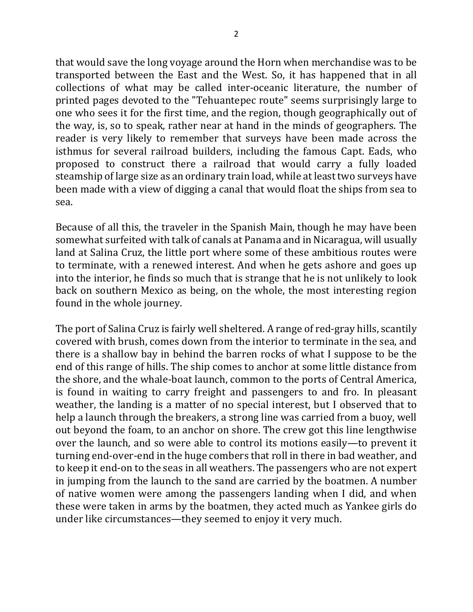that would save the long voyage around the Horn when merchandise was to be transported between the East and the West. So, it has happened that in all collections of what may be called inter-oceanic literature, the number of printed pages devoted to the "Tehuantepec route" seems surprisingly large to one who sees it for the first time, and the region, though geographically out of the way, is, so to speak, rather near at hand in the minds of geographers. The reader is very likely to remember that surveys have been made across the isthmus for several railroad builders, including the famous Capt. Eads, who proposed to construct there a railroad that would carry a fully loaded steamship of large size as an ordinary train load, while at least two surveys have been made with a view of digging a canal that would float the ships from sea to sea.

Because of all this, the traveler in the Spanish Main, though he may have been somewhat surfeited with talk of canals at Panama and in Nicaragua, will usually land at Salina Cruz, the little port where some of these ambitious routes were to terminate, with a renewed interest. And when he gets ashore and goes up into the interior, he finds so much that is strange that he is not unlikely to look back on southern Mexico as being, on the whole, the most interesting region found in the whole journey.

The port of Salina Cruz is fairly well sheltered. A range of red-gray hills, scantily covered with brush, comes down from the interior to terminate in the sea, and there is a shallow bay in behind the barren rocks of what I suppose to be the end of this range of hills. The ship comes to anchor at some little distance from the shore, and the whale-boat launch, common to the ports of Central America, is found in waiting to carry freight and passengers to and fro. In pleasant weather, the landing is a matter of no special interest, but I observed that to help a launch through the breakers, a strong line was carried from a buoy, well out beyond the foam, to an anchor on shore. The crew got this line lengthwise over the launch, and so were able to control its motions easily—to prevent it turning end-over-end in the huge combers that roll in there in bad weather, and to keep it end-on to the seas in all weathers. The passengers who are not expert in jumping from the launch to the sand are carried by the boatmen. A number of native women were among the passengers landing when I did, and when these were taken in arms by the boatmen, they acted much as Yankee girls do under like circumstances—they seemed to enjoy it very much.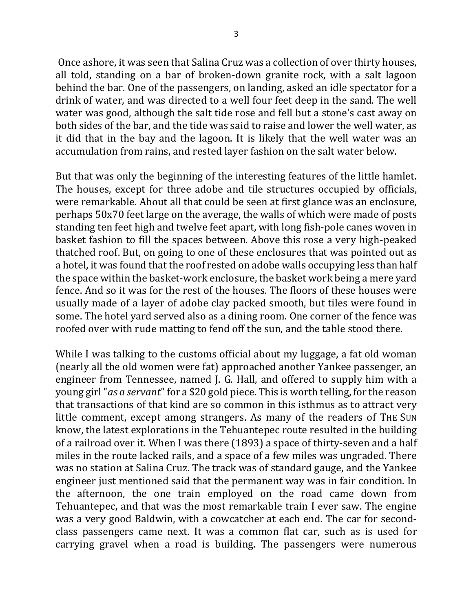Once ashore, it was seen that Salina Cruz was a collection of over thirty houses, all told, standing on a bar of broken-down granite rock, with a salt lagoon behind the bar. One of the passengers, on landing, asked an idle spectator for a drink of water, and was directed to a well four feet deep in the sand. The well water was good, although the salt tide rose and fell but a stone's cast away on both sides of the bar, and the tide was said to raise and lower the well water, as it did that in the bay and the lagoon. It is likely that the well water was an accumulation from rains, and rested layer fashion on the salt water below.

But that was only the beginning of the interesting features of the little hamlet. The houses, except for three adobe and tile structures occupied by officials, were remarkable. About all that could be seen at first glance was an enclosure, perhaps  $50x70$  feet large on the average, the walls of which were made of posts standing ten feet high and twelve feet apart, with long fish-pole canes woven in basket fashion to fill the spaces between. Above this rose a very high-peaked thatched roof. But, on going to one of these enclosures that was pointed out as a hotel, it was found that the roof rested on adobe walls occupying less than half the space within the basket-work enclosure, the basket work being a mere yard fence. And so it was for the rest of the houses. The floors of these houses were usually made of a layer of adobe clay packed smooth, but tiles were found in some. The hotel yard served also as a dining room. One corner of the fence was roofed over with rude matting to fend off the sun, and the table stood there.

While I was talking to the customs official about my luggage, a fat old woman (nearly all the old women were fat) approached another Yankee passenger, an engineer from Tennessee, named J. G. Hall, and offered to supply him with a young girl "*as a servant*" for a \$20 gold piece. This is worth telling, for the reason that transactions of that kind are so common in this isthmus as to attract very little comment, except among strangers. As many of the readers of THE SUN know, the latest explorations in the Tehuantepec route resulted in the building of a railroad over it. When I was there (1893) a space of thirty-seven and a half miles in the route lacked rails, and a space of a few miles was ungraded. There was no station at Salina Cruz. The track was of standard gauge, and the Yankee engineer just mentioned said that the permanent way was in fair condition. In the afternoon, the one train employed on the road came down from Tehuantepec, and that was the most remarkable train I ever saw. The engine was a very good Baldwin, with a cowcatcher at each end. The car for secondclass passengers came next. It was a common flat car, such as is used for carrying gravel when a road is building. The passengers were numerous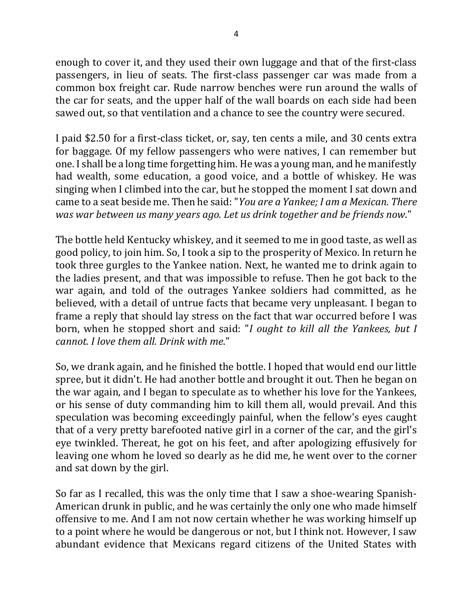enough to cover it, and they used their own luggage and that of the first-class passengers, in lieu of seats. The first-class passenger car was made from a common box freight car. Rude narrow benches were run around the walls of the car for seats, and the upper half of the wall boards on each side had been sawed out, so that ventilation and a chance to see the country were secured.

I paid \$2.50 for a first-class ticket, or, say, ten cents a mile, and 30 cents extra for baggage. Of my fellow passengers who were natives, I can remember but one. I shall be a long time forgetting him. He was a young man, and he manifestly had wealth, some education, a good voice, and a bottle of whiskey. He was singing when I climbed into the car, but he stopped the moment I sat down and came to a seat beside me. Then he said: "*You are a Yankee; I am a Mexican. There was* war between us many years ago. Let us drink together and be friends now."

The bottle held Kentucky whiskey, and it seemed to me in good taste, as well as good policy, to join him. So, I took a sip to the prosperity of Mexico. In return he took three gurgles to the Yankee nation. Next, he wanted me to drink again to the ladies present, and that was impossible to refuse. Then he got back to the war again, and told of the outrages Yankee soldiers had committed, as he believed, with a detail of untrue facts that became very unpleasant. I began to frame a reply that should lay stress on the fact that war occurred before I was born, when he stopped short and said: "*I* ought to kill all the Yankees, but *I cannot. I love them all. Drink with me*."

So, we drank again, and he finished the bottle. I hoped that would end our little spree, but it didn't. He had another bottle and brought it out. Then he began on the war again, and I began to speculate as to whether his love for the Yankees, or his sense of duty commanding him to kill them all, would prevail. And this speculation was becoming exceedingly painful, when the fellow's eyes caught that of a very pretty barefooted native girl in a corner of the car, and the girl's eye twinkled. Thereat, he got on his feet, and after apologizing effusively for leaving one whom he loved so dearly as he did me, he went over to the corner and sat down by the girl.

So far as I recalled, this was the only time that I saw a shoe-wearing Spanish-American drunk in public, and he was certainly the only one who made himself offensive to me. And I am not now certain whether he was working himself up to a point where he would be dangerous or not, but I think not. However, I saw abundant evidence that Mexicans regard citizens of the United States with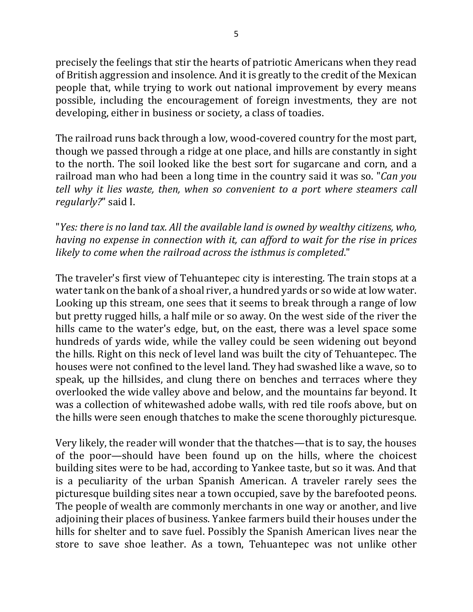precisely the feelings that stir the hearts of patriotic Americans when they read of British aggression and insolence. And it is greatly to the credit of the Mexican people that, while trying to work out national improvement by every means possible, including the encouragement of foreign investments, they are not developing, either in business or society, a class of toadies.

The railroad runs back through a low, wood-covered country for the most part, though we passed through a ridge at one place, and hills are constantly in sight to the north. The soil looked like the best sort for sugarcane and corn, and a railroad man who had been a long time in the country said it was so. "*Can you tell* why it lies waste, then, when so convenient to a port where steamers call regularly?" said I.

"*Yes: there is no land tax. All the available land is owned by wealthy citizens, who, having no expense in connection with it, can afford to wait for the rise in prices* likely to come when the railroad across the *isthmus* is completed."

The traveler's first view of Tehuantepec city is interesting. The train stops at a water tank on the bank of a shoal river, a hundred yards or so wide at low water. Looking up this stream, one sees that it seems to break through a range of low but pretty rugged hills, a half mile or so away. On the west side of the river the hills came to the water's edge, but, on the east, there was a level space some hundreds of yards wide, while the valley could be seen widening out beyond the hills. Right on this neck of level land was built the city of Tehuantepec. The houses were not confined to the level land. They had swashed like a wave, so to speak, up the hillsides, and clung there on benches and terraces where they overlooked the wide valley above and below, and the mountains far beyond. It was a collection of whitewashed adobe walls, with red tile roofs above, but on the hills were seen enough thatches to make the scene thoroughly picturesque.

Very likely, the reader will wonder that the thatches—that is to say, the houses of the poor—should have been found up on the hills, where the choicest building sites were to be had, according to Yankee taste, but so it was. And that is a peculiarity of the urban Spanish American. A traveler rarely sees the picturesque building sites near a town occupied, save by the barefooted peons. The people of wealth are commonly merchants in one way or another, and live adjoining their places of business. Yankee farmers build their houses under the hills for shelter and to save fuel. Possibly the Spanish American lives near the store to save shoe leather. As a town, Tehuantepec was not unlike other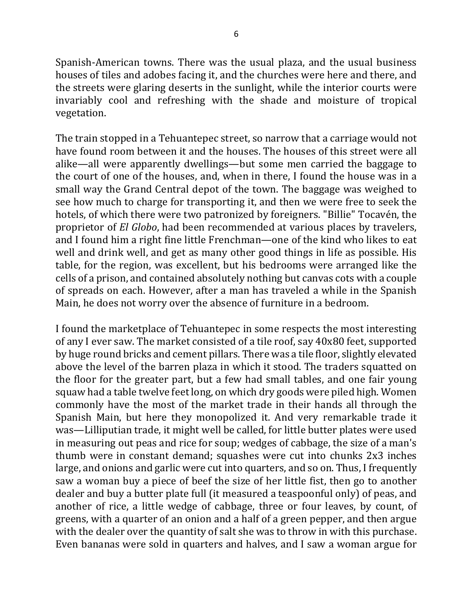Spanish-American towns. There was the usual plaza, and the usual business houses of tiles and adobes facing it, and the churches were here and there, and the streets were glaring deserts in the sunlight, while the interior courts were invariably cool and refreshing with the shade and moisture of tropical vegetation.

The train stopped in a Tehuantepec street, so narrow that a carriage would not have found room between it and the houses. The houses of this street were all alike—all were apparently dwellings—but some men carried the baggage to the court of one of the houses, and, when in there, I found the house was in a small way the Grand Central depot of the town. The baggage was weighed to see how much to charge for transporting it, and then we were free to seek the hotels, of which there were two patronized by foreigners. "Billie" Tocavén, the proprietor of *El Globo*, had been recommended at various places by travelers, and I found him a right fine little Frenchman—one of the kind who likes to eat well and drink well, and get as many other good things in life as possible. His table, for the region, was excellent, but his bedrooms were arranged like the cells of a prison, and contained absolutely nothing but canvas cots with a couple of spreads on each. However, after a man has traveled a while in the Spanish Main, he does not worry over the absence of furniture in a bedroom.

I found the marketplace of Tehuantepec in some respects the most interesting of any I ever saw. The market consisted of a tile roof, say 40x80 feet, supported by huge round bricks and cement pillars. There was a tile floor, slightly elevated above the level of the barren plaza in which it stood. The traders squatted on the floor for the greater part, but a few had small tables, and one fair young squaw had a table twelve feet long, on which dry goods were piled high. Women commonly have the most of the market trade in their hands all through the Spanish Main, but here they monopolized it. And very remarkable trade it was—Lilliputian trade, it might well be called, for little butter plates were used in measuring out peas and rice for soup; wedges of cabbage, the size of a man's thumb were in constant demand; squashes were cut into chunks 2x3 inches large, and onions and garlic were cut into quarters, and so on. Thus, I frequently saw a woman buy a piece of beef the size of her little fist, then go to another dealer and buy a butter plate full (it measured a teaspoonful only) of peas, and another of rice, a little wedge of cabbage, three or four leaves, by count, of greens, with a quarter of an onion and a half of a green pepper, and then argue with the dealer over the quantity of salt she was to throw in with this purchase. Even bananas were sold in quarters and halves, and I saw a woman argue for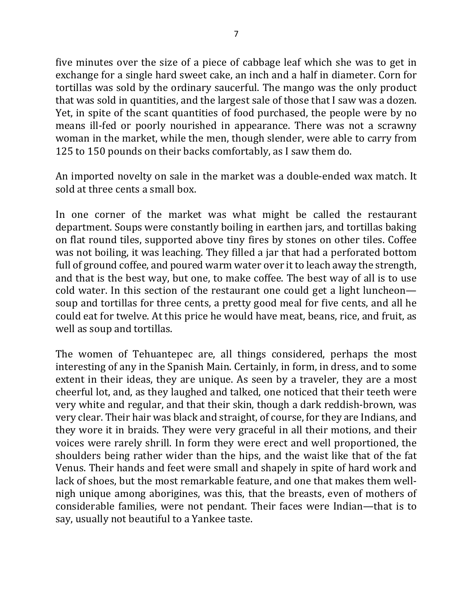five minutes over the size of a piece of cabbage leaf which she was to get in exchange for a single hard sweet cake, an inch and a half in diameter. Corn for tortillas was sold by the ordinary saucerful. The mango was the only product that was sold in quantities, and the largest sale of those that I saw was a dozen. Yet, in spite of the scant quantities of food purchased, the people were by no means ill-fed or poorly nourished in appearance. There was not a scrawny woman in the market, while the men, though slender, were able to carry from 125 to 150 pounds on their backs comfortably, as I saw them do.

An imported novelty on sale in the market was a double-ended wax match. It sold at three cents a small box.

In one corner of the market was what might be called the restaurant department. Soups were constantly boiling in earthen jars, and tortillas baking on flat round tiles, supported above tiny fires by stones on other tiles. Coffee was not boiling, it was leaching. They filled a jar that had a perforated bottom full of ground coffee, and poured warm water over it to leach away the strength, and that is the best way, but one, to make coffee. The best way of all is to use cold water. In this section of the restaurant one could get a light luncheon soup and tortillas for three cents, a pretty good meal for five cents, and all he could eat for twelve. At this price he would have meat, beans, rice, and fruit, as well as soup and tortillas.

The women of Tehuantepec are, all things considered, perhaps the most interesting of any in the Spanish Main. Certainly, in form, in dress, and to some extent in their ideas, they are unique. As seen by a traveler, they are a most cheerful lot, and, as they laughed and talked, one noticed that their teeth were very white and regular, and that their skin, though a dark reddish-brown, was very clear. Their hair was black and straight, of course, for they are Indians, and they wore it in braids. They were very graceful in all their motions, and their voices were rarely shrill. In form they were erect and well proportioned, the shoulders being rather wider than the hips, and the waist like that of the fat Venus. Their hands and feet were small and shapely in spite of hard work and lack of shoes, but the most remarkable feature, and one that makes them wellnigh unique among aborigines, was this, that the breasts, even of mothers of considerable families, were not pendant. Their faces were Indian—that is to say, usually not beautiful to a Yankee taste.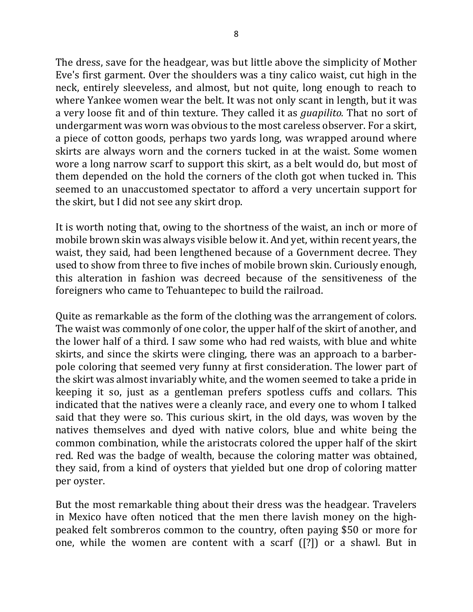The dress, save for the headgear, was but little above the simplicity of Mother Eve's first garment. Over the shoulders was a tiny calico waist, cut high in the neck, entirely sleeveless, and almost, but not quite, long enough to reach to where Yankee women wear the belt. It was not only scant in length, but it was a very loose fit and of thin texture. They called it as *guapilito*. That no sort of undergarment was worn was obvious to the most careless observer. For a skirt, a piece of cotton goods, perhaps two yards long, was wrapped around where skirts are always worn and the corners tucked in at the waist. Some women wore a long narrow scarf to support this skirt, as a belt would do, but most of them depended on the hold the corners of the cloth got when tucked in. This seemed to an unaccustomed spectator to afford a very uncertain support for the skirt, but I did not see any skirt drop.

It is worth noting that, owing to the shortness of the waist, an inch or more of mobile brown skin was always visible below it. And yet, within recent years, the waist, they said, had been lengthened because of a Government decree. They used to show from three to five inches of mobile brown skin. Curiously enough, this alteration in fashion was decreed because of the sensitiveness of the foreigners who came to Tehuantepec to build the railroad.

Quite as remarkable as the form of the clothing was the arrangement of colors. The waist was commonly of one color, the upper half of the skirt of another, and the lower half of a third. I saw some who had red waists, with blue and white skirts, and since the skirts were clinging, there was an approach to a barberpole coloring that seemed very funny at first consideration. The lower part of the skirt was almost invariably white, and the women seemed to take a pride in keeping it so, just as a gentleman prefers spotless cuffs and collars. This indicated that the natives were a cleanly race, and every one to whom I talked said that they were so. This curious skirt, in the old days, was woven by the natives themselves and dyed with native colors, blue and white being the common combination, while the aristocrats colored the upper half of the skirt red. Red was the badge of wealth, because the coloring matter was obtained, they said, from a kind of oysters that yielded but one drop of coloring matter per oyster.

But the most remarkable thing about their dress was the headgear. Travelers in Mexico have often noticed that the men there lavish money on the highpeaked felt sombreros common to the country, often paying \$50 or more for one, while the women are content with a scarf  $(2)$  or a shawl. But in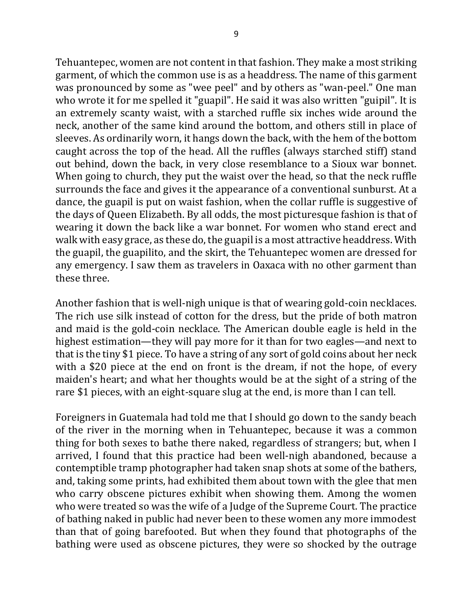Tehuantepec, women are not content in that fashion. They make a most striking garment, of which the common use is as a headdress. The name of this garment was pronounced by some as "wee peel" and by others as "wan-peel." One man who wrote it for me spelled it "guapil". He said it was also written "guipil". It is an extremely scanty waist, with a starched ruffle six inches wide around the neck, another of the same kind around the bottom, and others still in place of sleeves. As ordinarily worn, it hangs down the back, with the hem of the bottom caught across the top of the head. All the ruffles (always starched stiff) stand out behind, down the back, in very close resemblance to a Sioux war bonnet. When going to church, they put the waist over the head, so that the neck ruffle surrounds the face and gives it the appearance of a conventional sunburst. At a dance, the guapil is put on waist fashion, when the collar ruffle is suggestive of the days of Queen Elizabeth. By all odds, the most picturesque fashion is that of wearing it down the back like a war bonnet. For women who stand erect and walk with easy grace, as these do, the guapil is a most attractive headdress. With the guapil, the guapilito, and the skirt, the Tehuantepec women are dressed for any emergency. I saw them as travelers in Oaxaca with no other garment than these three.

Another fashion that is well-nigh unique is that of wearing gold-coin necklaces. The rich use silk instead of cotton for the dress, but the pride of both matron and maid is the gold-coin necklace. The American double eagle is held in the highest estimation—they will pay more for it than for two eagles—and next to that is the tiny \$1 piece. To have a string of any sort of gold coins about her neck with a \$20 piece at the end on front is the dream, if not the hope, of every maiden's heart; and what her thoughts would be at the sight of a string of the rare \$1 pieces, with an eight-square slug at the end, is more than I can tell.

Foreigners in Guatemala had told me that I should go down to the sandy beach of the river in the morning when in Tehuantepec, because it was a common thing for both sexes to bathe there naked, regardless of strangers; but, when I arrived, I found that this practice had been well-nigh abandoned, because a contemptible tramp photographer had taken snap shots at some of the bathers, and, taking some prints, had exhibited them about town with the glee that men who carry obscene pictures exhibit when showing them. Among the women who were treated so was the wife of a Judge of the Supreme Court. The practice of bathing naked in public had never been to these women any more immodest than that of going barefooted. But when they found that photographs of the bathing were used as obscene pictures, they were so shocked by the outrage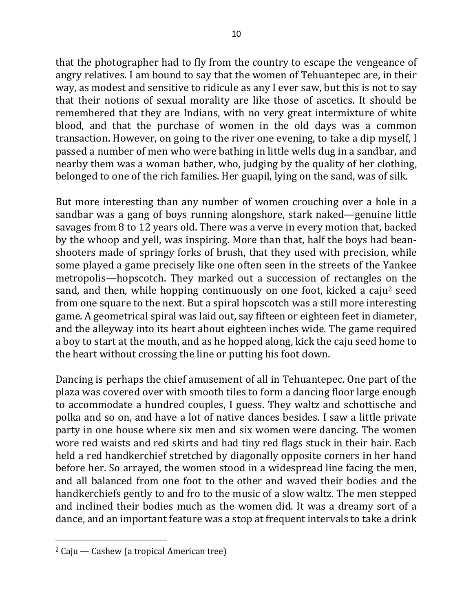that the photographer had to fly from the country to escape the vengeance of angry relatives. I am bound to say that the women of Tehuantepec are, in their way, as modest and sensitive to ridicule as any I ever saw, but this is not to say that their notions of sexual morality are like those of ascetics. It should be remembered that they are Indians, with no very great intermixture of white blood, and that the purchase of women in the old days was a common transaction. However, on going to the river one evening, to take a dip myself, I passed a number of men who were bathing in little wells dug in a sandbar, and nearby them was a woman bather, who, judging by the quality of her clothing, belonged to one of the rich families. Her guapil, lying on the sand, was of silk.

But more interesting than any number of women crouching over a hole in a sandbar was a gang of boys running alongshore, stark naked—genuine little savages from 8 to 12 years old. There was a verve in every motion that, backed by the whoop and yell, was inspiring. More than that, half the boys had beanshooters made of springy forks of brush, that they used with precision, while some played a game precisely like one often seen in the streets of the Yankee metropolis—hopscotch. They marked out a succession of rectangles on the sand, and then, while hopping continuously on one foot, kicked a caju<sup>2</sup> seed from one square to the next. But a spiral hopscotch was a still more interesting game. A geometrical spiral was laid out, say fifteen or eighteen feet in diameter, and the alleyway into its heart about eighteen inches wide. The game required a boy to start at the mouth, and as he hopped along, kick the caju seed home to the heart without crossing the line or putting his foot down.

Dancing is perhaps the chief amusement of all in Tehuantepec. One part of the plaza was covered over with smooth tiles to form a dancing floor large enough to accommodate a hundred couples, I guess. They waltz and schottische and polka and so on, and have a lot of native dances besides. I saw a little private party in one house where six men and six women were dancing. The women wore red waists and red skirts and had tiny red flags stuck in their hair. Each held a red handkerchief stretched by diagonally opposite corners in her hand before her. So arrayed, the women stood in a widespread line facing the men, and all balanced from one foot to the other and waved their bodies and the handkerchiefs gently to and fro to the music of a slow waltz. The men stepped and inclined their bodies much as the women did. It was a dreamy sort of a dance, and an important feature was a stop at frequent intervals to take a drink

 $\overline{\phantom{a}}$ 

 $2$  Caju — Cashew (a tropical American tree)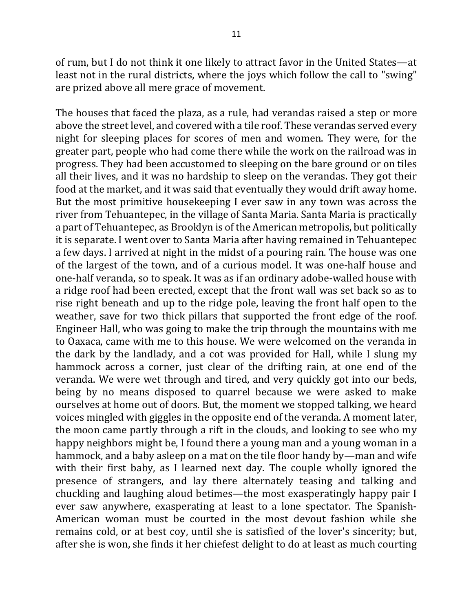of rum, but I do not think it one likely to attract favor in the United States—at least not in the rural districts, where the joys which follow the call to "swing" are prized above all mere grace of movement.

The houses that faced the plaza, as a rule, had verandas raised a step or more above the street level, and covered with a tile roof. These verandas served every night for sleeping places for scores of men and women. They were, for the greater part, people who had come there while the work on the railroad was in progress. They had been accustomed to sleeping on the bare ground or on tiles all their lives, and it was no hardship to sleep on the verandas. They got their food at the market, and it was said that eventually they would drift away home. But the most primitive housekeeping I ever saw in any town was across the river from Tehuantepec, in the village of Santa Maria. Santa Maria is practically a part of Tehuantepec, as Brooklyn is of the American metropolis, but politically it is separate. I went over to Santa Maria after having remained in Tehuantepec a few days. I arrived at night in the midst of a pouring rain. The house was one of the largest of the town, and of a curious model. It was one-half house and one-half veranda, so to speak. It was as if an ordinary adobe-walled house with a ridge roof had been erected, except that the front wall was set back so as to rise right beneath and up to the ridge pole, leaving the front half open to the weather, save for two thick pillars that supported the front edge of the roof. Engineer Hall, who was going to make the trip through the mountains with me to Oaxaca, came with me to this house. We were welcomed on the veranda in the dark by the landlady, and a cot was provided for Hall, while I slung my hammock across a corner, just clear of the drifting rain, at one end of the veranda. We were wet through and tired, and very quickly got into our beds, being by no means disposed to quarrel because we were asked to make ourselves at home out of doors. But, the moment we stopped talking, we heard voices mingled with giggles in the opposite end of the veranda. A moment later, the moon came partly through a rift in the clouds, and looking to see who my happy neighbors might be, I found there a young man and a young woman in a hammock, and a baby asleep on a mat on the tile floor handy by—man and wife with their first baby, as I learned next day. The couple wholly ignored the presence of strangers, and lay there alternately teasing and talking and chuckling and laughing aloud betimes—the most exasperatingly happy pair I ever saw anywhere, exasperating at least to a lone spectator. The Spanish-American woman must be courted in the most devout fashion while she remains cold, or at best coy, until she is satisfied of the lover's sincerity; but, after she is won, she finds it her chiefest delight to do at least as much courting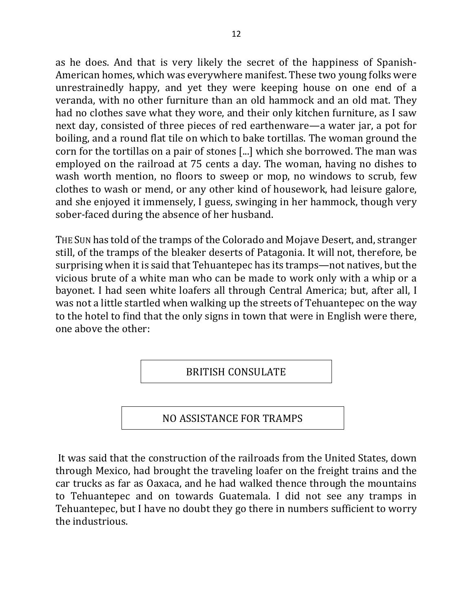as he does. And that is very likely the secret of the happiness of Spanish-American homes, which was everywhere manifest. These two young folks were unrestrainedly happy, and yet they were keeping house on one end of a veranda, with no other furniture than an old hammock and an old mat. They had no clothes save what they wore, and their only kitchen furniture, as I saw next day, consisted of three pieces of red earthenware—a water jar, a pot for boiling, and a round flat tile on which to bake tortillas. The woman ground the corn for the tortillas on a pair of stones [...] which she borrowed. The man was employed on the railroad at 75 cents a day. The woman, having no dishes to wash worth mention, no floors to sweep or mop, no windows to scrub, few clothes to wash or mend, or any other kind of housework, had leisure galore, and she enjoyed it immensely, I guess, swinging in her hammock, though very sober-faced during the absence of her husband.

THE SUN has told of the tramps of the Colorado and Mojave Desert, and, stranger still, of the tramps of the bleaker deserts of Patagonia. It will not, therefore, be surprising when it is said that Tehuantepec has its tramps—not natives, but the vicious brute of a white man who can be made to work only with a whip or a bayonet. I had seen white loafers all through Central America; but, after all, I was not a little startled when walking up the streets of Tehuantepec on the way to the hotel to find that the only signs in town that were in English were there, one above the other:

BRITISH CONSULATE

### NO ASSISTANCE FOR TRAMPS

It was said that the construction of the railroads from the United States, down through Mexico, had brought the traveling loafer on the freight trains and the car trucks as far as Oaxaca, and he had walked thence through the mountains to Tehuantepec and on towards Guatemala. I did not see any tramps in Tehuantepec, but I have no doubt they go there in numbers sufficient to worry the industrious.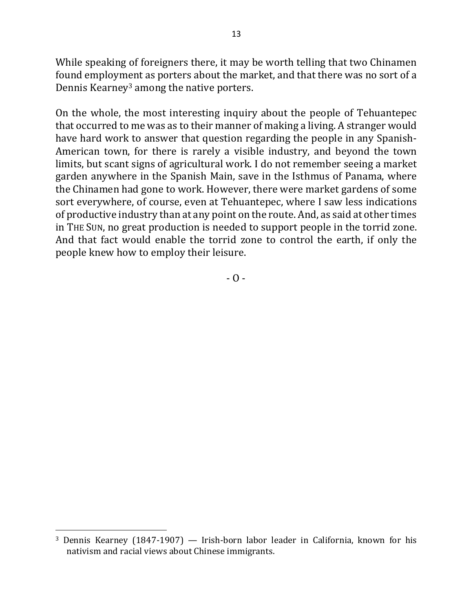While speaking of foreigners there, it may be worth telling that two Chinamen found employment as porters about the market, and that there was no sort of a Dennis Kearney<sup>3</sup> among the native porters.

On the whole, the most interesting inquiry about the people of Tehuantepec that occurred to me was as to their manner of making a living. A stranger would have hard work to answer that question regarding the people in any Spanish-American town, for there is rarely a visible industry, and beyond the town limits, but scant signs of agricultural work. I do not remember seeing a market garden anywhere in the Spanish Main, save in the Isthmus of Panama, where the Chinamen had gone to work. However, there were market gardens of some sort everywhere, of course, even at Tehuantepec, where I saw less indications of productive industry than at any point on the route. And, as said at other times in THE SUN, no great production is needed to support people in the torrid zone. And that fact would enable the torrid zone to control the earth, if only the people knew how to employ their leisure.

 $-$  O  $-$ 

 $\overline{a}$ 

<sup>&</sup>lt;sup>3</sup> Dennis Kearney (1847-1907) — Irish-born labor leader in California, known for his nativism and racial views about Chinese immigrants.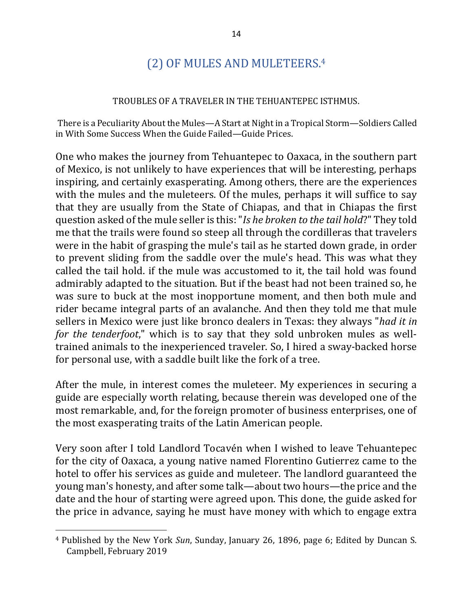# (2) OF MULES AND MULETEERS.<sup>4</sup>

#### TROUBLES OF A TRAVELER IN THE TEHUANTEPEC ISTHMUS.

There is a Peculiarity About the Mules—A Start at Night in a Tropical Storm—Soldiers Called in With Some Success When the Guide Failed—Guide Prices.

One who makes the journey from Tehuantepec to Oaxaca, in the southern part of Mexico, is not unlikely to have experiences that will be interesting, perhaps inspiring, and certainly exasperating. Among others, there are the experiences with the mules and the muleteers. Of the mules, perhaps it will suffice to say that they are usually from the State of Chiapas, and that in Chiapas the first question asked of the mule seller is this: "*Is he broken to the tail hold*?" They told me that the trails were found so steep all through the cordilleras that travelers were in the habit of grasping the mule's tail as he started down grade, in order to prevent sliding from the saddle over the mule's head. This was what they called the tail hold. if the mule was accustomed to it, the tail hold was found admirably adapted to the situation. But if the beast had not been trained so, he was sure to buck at the most inopportune moment, and then both mule and rider became integral parts of an avalanche. And then they told me that mule sellers in Mexico were just like bronco dealers in Texas: they always "*had it in for* the tenderfoot," which is to say that they sold unbroken mules as welltrained animals to the inexperienced traveler. So, I hired a sway-backed horse for personal use, with a saddle built like the fork of a tree.

After the mule, in interest comes the muleteer. My experiences in securing a guide are especially worth relating, because therein was developed one of the most remarkable, and, for the foreign promoter of business enterprises, one of the most exasperating traits of the Latin American people.

Very soon after I told Landlord Tocavén when I wished to leave Tehuantepec for the city of Oaxaca, a young native named Florentino Gutierrez came to the hotel to offer his services as guide and muleteer. The landlord guaranteed the young man's honesty, and after some talk—about two hours—the price and the date and the hour of starting were agreed upon. This done, the guide asked for the price in advance, saying he must have money with which to engage extra

 $\overline{a}$ 

<sup>&</sup>lt;sup>4</sup> Published by the New York *Sun*, Sunday, January 26, 1896, page 6; Edited by Duncan S. Campbell, February 2019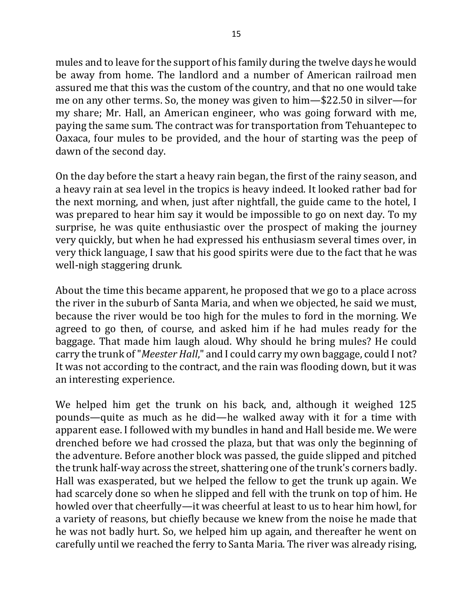mules and to leave for the support of his family during the twelve days he would be away from home. The landlord and a number of American railroad men assured me that this was the custom of the country, and that no one would take me on any other terms. So, the money was given to him—\$22.50 in silver—for my share; Mr. Hall, an American engineer, who was going forward with me, paying the same sum. The contract was for transportation from Tehuantepec to Oaxaca, four mules to be provided, and the hour of starting was the peep of dawn of the second day.

On the day before the start a heavy rain began, the first of the rainy season, and a heavy rain at sea level in the tropics is heavy indeed. It looked rather bad for the next morning, and when, just after nightfall, the guide came to the hotel, I was prepared to hear him say it would be impossible to go on next day. To my surprise, he was quite enthusiastic over the prospect of making the journey very quickly, but when he had expressed his enthusiasm several times over, in very thick language, I saw that his good spirits were due to the fact that he was well-nigh staggering drunk.

About the time this became apparent, he proposed that we go to a place across the river in the suburb of Santa Maria, and when we objected, he said we must, because the river would be too high for the mules to ford in the morning. We agreed to go then, of course, and asked him if he had mules ready for the baggage. That made him laugh aloud. Why should he bring mules? He could carry the trunk of "*Meester Hall*," and I could carry my own baggage, could I not? It was not according to the contract, and the rain was flooding down, but it was an interesting experience.

We helped him get the trunk on his back, and, although it weighed 125 pounds—quite as much as he did—he walked away with it for a time with apparent ease. I followed with my bundles in hand and Hall beside me. We were drenched before we had crossed the plaza, but that was only the beginning of the adventure. Before another block was passed, the guide slipped and pitched the trunk half-way across the street, shattering one of the trunk's corners badly. Hall was exasperated, but we helped the fellow to get the trunk up again. We had scarcely done so when he slipped and fell with the trunk on top of him. He howled over that cheerfully—it was cheerful at least to us to hear him howl, for a variety of reasons, but chiefly because we knew from the noise he made that he was not badly hurt. So, we helped him up again, and thereafter he went on carefully until we reached the ferry to Santa Maria. The river was already rising,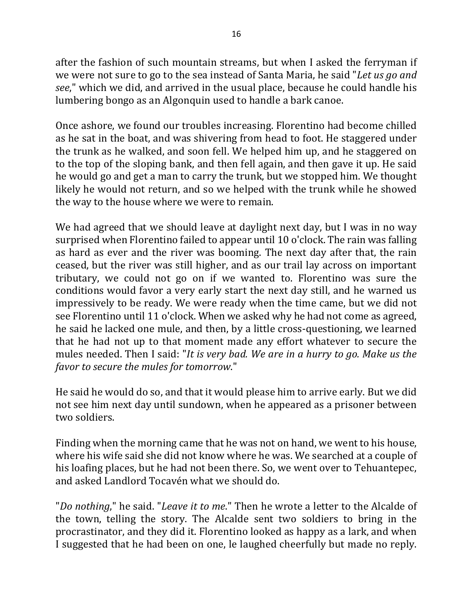after the fashion of such mountain streams, but when I asked the ferryman if we were not sure to go to the sea instead of Santa Maria, he said "Let us go and see," which we did, and arrived in the usual place, because he could handle his lumbering bongo as an Algonquin used to handle a bark canoe.

Once ashore, we found our troubles increasing. Florentino had become chilled as he sat in the boat, and was shivering from head to foot. He staggered under the trunk as he walked, and soon fell. We helped him up, and he staggered on to the top of the sloping bank, and then fell again, and then gave it up. He said he would go and get a man to carry the trunk, but we stopped him. We thought likely he would not return, and so we helped with the trunk while he showed the way to the house where we were to remain.

We had agreed that we should leave at daylight next day, but I was in no way surprised when Florentino failed to appear until 10 o'clock. The rain was falling as hard as ever and the river was booming. The next day after that, the rain ceased, but the river was still higher, and as our trail lay across on important tributary, we could not go on if we wanted to. Florentino was sure the conditions would favor a very early start the next day still, and he warned us impressively to be ready. We were ready when the time came, but we did not see Florentino until 11 o'clock. When we asked why he had not come as agreed, he said he lacked one mule, and then, by a little cross-questioning, we learned that he had not up to that moment made any effort whatever to secure the mules needed. Then I said: "*It is very bad. We are in a hurry to go. Make us the favor to secure the mules for tomorrow.*"

He said he would do so, and that it would please him to arrive early. But we did not see him next day until sundown, when he appeared as a prisoner between two soldiers.

Finding when the morning came that he was not on hand, we went to his house, where his wife said she did not know where he was. We searched at a couple of his loafing places, but he had not been there. So, we went over to Tehuantepec, and asked Landlord Tocavén what we should do.

"*Do nothing*," he said. "*Leave it to me*." Then he wrote a letter to the Alcalde of the town, telling the story. The Alcalde sent two soldiers to bring in the procrastinator, and they did it. Florentino looked as happy as a lark, and when I suggested that he had been on one, le laughed cheerfully but made no reply.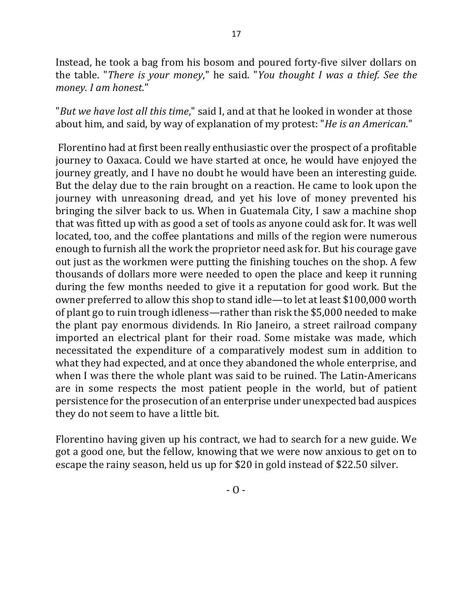Instead, he took a bag from his bosom and poured forty-five silver dollars on the table. "There is your money," he said. "You thought I was a thief. See the *money. I am honest*."

"*But* we have lost all this time," said I, and at that he looked in wonder at those about him, and said, by way of explanation of my protest: "*He is an American*."

Florentino had at first been really enthusiastic over the prospect of a profitable journey to Oaxaca. Could we have started at once, he would have enjoyed the journey greatly, and I have no doubt he would have been an interesting guide. But the delay due to the rain brought on a reaction. He came to look upon the journey with unreasoning dread, and yet his love of money prevented his bringing the silver back to us. When in Guatemala City, I saw a machine shop that was fitted up with as good a set of tools as anyone could ask for. It was well located, too, and the coffee plantations and mills of the region were numerous enough to furnish all the work the proprietor need ask for. But his courage gave out just as the workmen were putting the finishing touches on the shop. A few thousands of dollars more were needed to open the place and keep it running during the few months needed to give it a reputation for good work. But the owner preferred to allow this shop to stand idle—to let at least \$100,000 worth of plant go to ruin trough idleness—rather than risk the \$5,000 needed to make the plant pay enormous dividends. In Rio Janeiro, a street railroad company imported an electrical plant for their road. Some mistake was made, which necessitated the expenditure of a comparatively modest sum in addition to what they had expected, and at once they abandoned the whole enterprise, and when I was there the whole plant was said to be ruined. The Latin-Americans are in some respects the most patient people in the world, but of patient persistence for the prosecution of an enterprise under unexpected bad auspices they do not seem to have a little bit.

Florentino having given up his contract, we had to search for a new guide. We got a good one, but the fellow, knowing that we were now anxious to get on to escape the rainy season, held us up for \$20 in gold instead of \$22.50 silver.

 $- 0 -$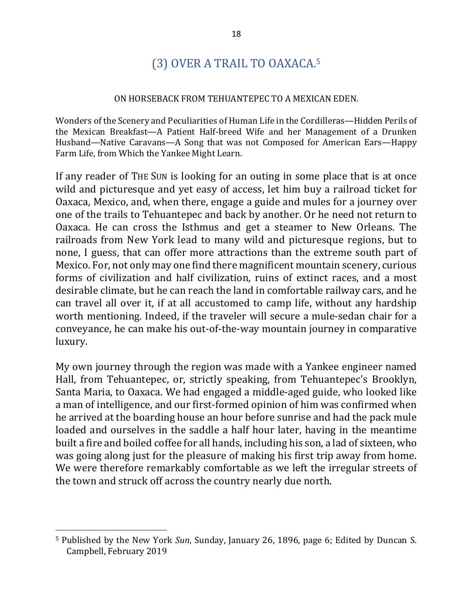# (3) OVER A TRAIL TO OAXACA.<sup>5</sup>

#### ON HORSEBACK FROM TEHUANTEPEC TO A MEXICAN EDEN.

Wonders of the Scenery and Peculiarities of Human Life in the Cordilleras—Hidden Perils of the Mexican Breakfast—A Patient Half-breed Wife and her Management of a Drunken Husband—Native Caravans—A Song that was not Composed for American Ears—Happy Farm Life, from Which the Yankee Might Learn.

If any reader of THE SUN is looking for an outing in some place that is at once wild and picturesque and yet easy of access, let him buy a railroad ticket for Oaxaca, Mexico, and, when there, engage a guide and mules for a journey over one of the trails to Tehuantepec and back by another. Or he need not return to Oaxaca. He can cross the Isthmus and get a steamer to New Orleans. The railroads from New York lead to many wild and picturesque regions, but to none, I guess, that can offer more attractions than the extreme south part of Mexico. For, not only may one find there magnificent mountain scenery, curious forms of civilization and half civilization, ruins of extinct races, and a most desirable climate, but he can reach the land in comfortable railway cars, and he can travel all over it, if at all accustomed to camp life, without any hardship worth mentioning. Indeed, if the traveler will secure a mule-sedan chair for a conveyance, he can make his out-of-the-way mountain journey in comparative luxury.

My own journey through the region was made with a Yankee engineer named Hall, from Tehuantepec, or, strictly speaking, from Tehuantepec's Brooklyn, Santa Maria, to Oaxaca. We had engaged a middle-aged guide, who looked like a man of intelligence, and our first-formed opinion of him was confirmed when he arrived at the boarding house an hour before sunrise and had the pack mule loaded and ourselves in the saddle a half hour later, having in the meantime built a fire and boiled coffee for all hands, including his son, a lad of sixteen, who was going along just for the pleasure of making his first trip away from home. We were therefore remarkably comfortable as we left the irregular streets of the town and struck off across the country nearly due north.

 $\overline{a}$ 

<sup>&</sup>lt;sup>5</sup> Published by the New York *Sun*, Sunday, January 26, 1896, page 6; Edited by Duncan S. Campbell, February 2019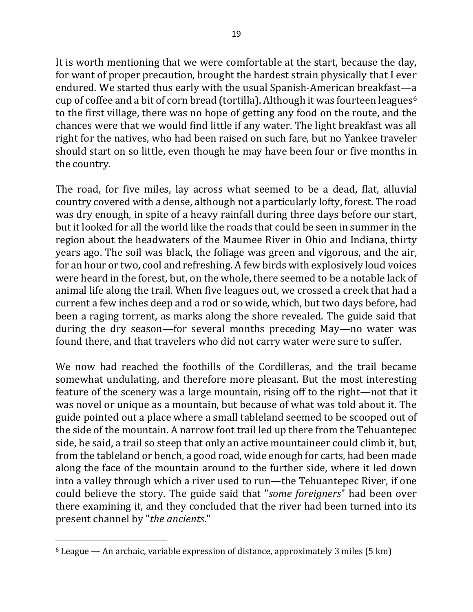It is worth mentioning that we were comfortable at the start, because the day, for want of proper precaution, brought the hardest strain physically that I ever endured. We started thus early with the usual Spanish-American breakfast—a cup of coffee and a bit of corn bread (tortilla). Although it was fourteen leagues<sup>6</sup> to the first village, there was no hope of getting any food on the route, and the chances were that we would find little if any water. The light breakfast was all right for the natives, who had been raised on such fare, but no Yankee traveler should start on so little, even though he may have been four or five months in the country.

The road, for five miles, lay across what seemed to be a dead, flat, alluvial country covered with a dense, although not a particularly lofty, forest. The road was dry enough, in spite of a heavy rainfall during three days before our start, but it looked for all the world like the roads that could be seen in summer in the region about the headwaters of the Maumee River in Ohio and Indiana, thirty years ago. The soil was black, the foliage was green and vigorous, and the air, for an hour or two, cool and refreshing. A few birds with explosively loud voices were heard in the forest, but, on the whole, there seemed to be a notable lack of animal life along the trail. When five leagues out, we crossed a creek that had a current a few inches deep and a rod or so wide, which, but two days before, had been a raging torrent, as marks along the shore revealed. The guide said that during the dry season—for several months preceding May—no water was found there, and that travelers who did not carry water were sure to suffer.

We now had reached the foothills of the Cordilleras, and the trail became somewhat undulating, and therefore more pleasant. But the most interesting feature of the scenery was a large mountain, rising off to the right—not that it was novel or unique as a mountain, but because of what was told about it. The guide pointed out a place where a small tableland seemed to be scooped out of the side of the mountain. A narrow foot trail led up there from the Tehuantepec side, he said, a trail so steep that only an active mountaineer could climb it, but, from the tableland or bench, a good road, wide enough for carts, had been made along the face of the mountain around to the further side, where it led down into a valley through which a river used to run—the Tehuantepec River, if one could believe the story. The guide said that "some foreigners" had been over there examining it, and they concluded that the river had been turned into its present channel by "*the ancients*."

 $\overline{\phantom{a}}$ 

 $6$  League — An archaic, variable expression of distance, approximately 3 miles (5 km)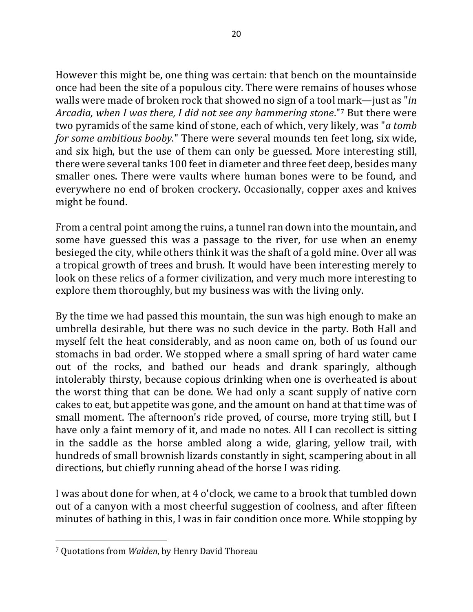However this might be, one thing was certain: that bench on the mountainside once had been the site of a populous city. There were remains of houses whose walls were made of broken rock that showed no sign of a tool mark—just as "*in Arcadia, when I was there, I did not see any hammering stone.*"<sup>7</sup> But there were two pyramids of the same kind of stone, each of which, very likely, was "*a tomb for some ambitious booby*." There were several mounds ten feet long, six wide, and six high, but the use of them can only be guessed. More interesting still, there were several tanks 100 feet in diameter and three feet deep, besides many smaller ones. There were vaults where human bones were to be found, and everywhere no end of broken crockery. Occasionally, copper axes and knives might be found.

From a central point among the ruins, a tunnel ran down into the mountain, and some have guessed this was a passage to the river, for use when an enemy besieged the city, while others think it was the shaft of a gold mine. Over all was a tropical growth of trees and brush. It would have been interesting merely to look on these relics of a former civilization, and very much more interesting to explore them thoroughly, but my business was with the living only.

By the time we had passed this mountain, the sun was high enough to make an umbrella desirable, but there was no such device in the party. Both Hall and myself felt the heat considerably, and as noon came on, both of us found our stomachs in bad order. We stopped where a small spring of hard water came out of the rocks, and bathed our heads and drank sparingly, although intolerably thirsty, because copious drinking when one is overheated is about the worst thing that can be done. We had only a scant supply of native corn cakes to eat, but appetite was gone, and the amount on hand at that time was of small moment. The afternoon's ride proved, of course, more trying still, but I have only a faint memory of it, and made no notes. All I can recollect is sitting in the saddle as the horse ambled along a wide, glaring, yellow trail, with hundreds of small brownish lizards constantly in sight, scampering about in all directions, but chiefly running ahead of the horse I was riding.

I was about done for when, at 4 o'clock, we came to a brook that tumbled down out of a canyon with a most cheerful suggestion of coolness, and after fifteen minutes of bathing in this, I was in fair condition once more. While stopping by

 $\overline{\phantom{a}}$ 

<sup>&</sup>lt;sup>7</sup> Quotations from *Walden*, by Henry David Thoreau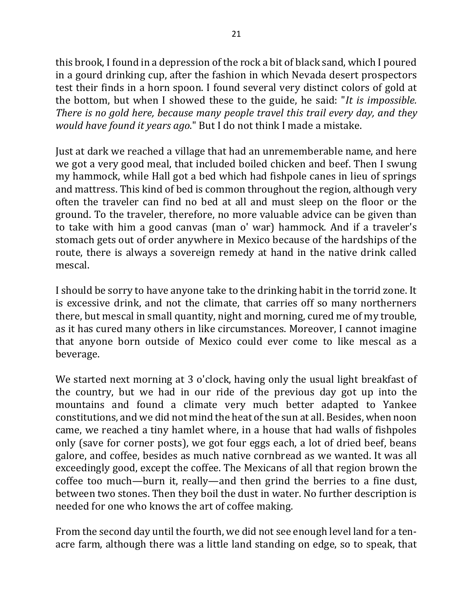this brook, I found in a depression of the rock a bit of black sand, which I poured in a gourd drinking cup, after the fashion in which Nevada desert prospectors test their finds in a horn spoon. I found several very distinct colors of gold at the bottom, but when I showed these to the guide, he said: "It is *impossible*. *There is no gold here, because many people travel this trail every day, and they would have found it years ago*." But I do not think I made a mistake.

Just at dark we reached a village that had an unrememberable name, and here we got a very good meal, that included boiled chicken and beef. Then I swung my hammock, while Hall got a bed which had fishpole canes in lieu of springs and mattress. This kind of bed is common throughout the region, although very often the traveler can find no bed at all and must sleep on the floor or the ground. To the traveler, therefore, no more valuable advice can be given than to take with him a good canvas (man o' war) hammock. And if a traveler's stomach gets out of order anywhere in Mexico because of the hardships of the route, there is always a sovereign remedy at hand in the native drink called mescal.

I should be sorry to have anyone take to the drinking habit in the torrid zone. It is excessive drink, and not the climate, that carries off so many northerners there, but mescal in small quantity, night and morning, cured me of my trouble, as it has cured many others in like circumstances. Moreover, I cannot imagine that anyone born outside of Mexico could ever come to like mescal as a beverage.

We started next morning at 3 o'clock, having only the usual light breakfast of the country, but we had in our ride of the previous day got up into the mountains and found a climate very much better adapted to Yankee constitutions, and we did not mind the heat of the sun at all. Besides, when noon came, we reached a tiny hamlet where, in a house that had walls of fishpoles only (save for corner posts), we got four eggs each, a lot of dried beef, beans galore, and coffee, besides as much native cornbread as we wanted. It was all exceedingly good, except the coffee. The Mexicans of all that region brown the coffee too much—burn it, really—and then grind the berries to a fine dust, between two stones. Then they boil the dust in water. No further description is needed for one who knows the art of coffee making.

From the second day until the fourth, we did not see enough level land for a tenacre farm, although there was a little land standing on edge, so to speak, that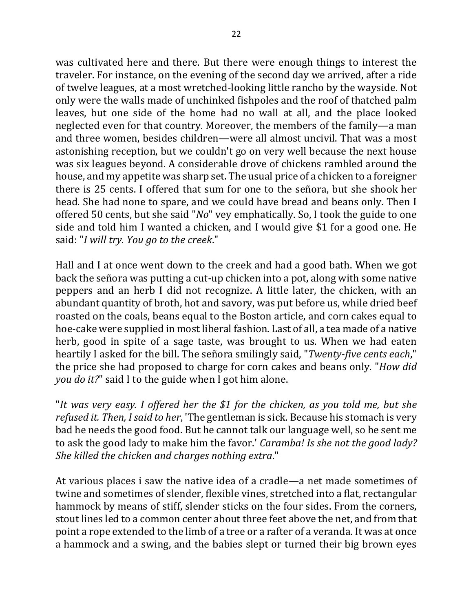was cultivated here and there. But there were enough things to interest the traveler. For instance, on the evening of the second day we arrived, after a ride of twelve leagues, at a most wretched-looking little rancho by the wayside. Not only were the walls made of unchinked fishpoles and the roof of thatched palm leaves, but one side of the home had no wall at all, and the place looked neglected even for that country. Moreover, the members of the family—a man and three women, besides children—were all almost uncivil. That was a most astonishing reception, but we couldn't go on very well because the next house was six leagues beyond. A considerable drove of chickens rambled around the house, and my appetite was sharp set. The usual price of a chicken to a foreigner there is 25 cents. I offered that sum for one to the señora, but she shook her head. She had none to spare, and we could have bread and beans only. Then I offered 50 cents, but she said "*No*" vey emphatically. So, I took the guide to one side and told him I wanted a chicken, and I would give \$1 for a good one. He said: "*I* will try. You go to the creek."

Hall and I at once went down to the creek and had a good bath. When we got back the señora was putting a cut-up chicken into a pot, along with some native peppers and an herb I did not recognize. A little later, the chicken, with an abundant quantity of broth, hot and savory, was put before us, while dried beef roasted on the coals, beans equal to the Boston article, and corn cakes equal to hoe-cake were supplied in most liberal fashion. Last of all, a tea made of a native herb, good in spite of a sage taste, was brought to us. When we had eaten heartily I asked for the bill. The señora smilingly said, "*Twenty-five cents each*," the price she had proposed to charge for corn cakes and beans only. "*How did you do it?*" said I to the guide when I got him alone.

"It was very easy. I offered her the \$1 for the chicken, as you told me, but she *refused it. Then, I said to her*, 'The gentleman is sick. Because his stomach is very bad he needs the good food. But he cannot talk our language well, so he sent me to ask the good lady to make him the favor.' *Caramba! Is she not the good lady? She killed the chicken and charges nothing extra.*"

At various places i saw the native idea of a cradle—a net made sometimes of twine and sometimes of slender, flexible vines, stretched into a flat, rectangular hammock by means of stiff, slender sticks on the four sides. From the corners, stout lines led to a common center about three feet above the net, and from that point a rope extended to the limb of a tree or a rafter of a veranda. It was at once a hammock and a swing, and the babies slept or turned their big brown eyes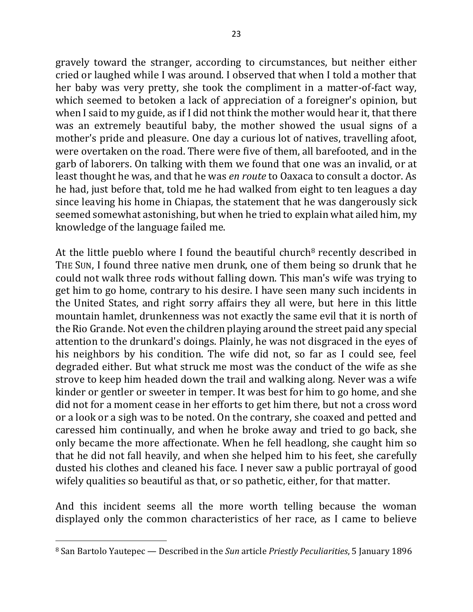gravely toward the stranger, according to circumstances, but neither either cried or laughed while I was around. I observed that when I told a mother that her baby was very pretty, she took the compliment in a matter-of-fact way, which seemed to betoken a lack of appreciation of a foreigner's opinion, but when I said to my guide, as if I did not think the mother would hear it, that there was an extremely beautiful baby, the mother showed the usual signs of a mother's pride and pleasure. One day a curious lot of natives, travelling afoot, were overtaken on the road. There were five of them, all barefooted, and in the garb of laborers. On talking with them we found that one was an invalid, or at least thought he was, and that he was *en route* to Oaxaca to consult a doctor. As he had, just before that, told me he had walked from eight to ten leagues a day since leaving his home in Chiapas, the statement that he was dangerously sick seemed somewhat astonishing, but when he tried to explain what ailed him, my knowledge of the language failed me.

At the little pueblo where I found the beautiful church<sup>8</sup> recently described in THE SUN, I found three native men drunk, one of them being so drunk that he could not walk three rods without falling down. This man's wife was trying to get him to go home, contrary to his desire. I have seen many such incidents in the United States, and right sorry affairs they all were, but here in this little mountain hamlet, drunkenness was not exactly the same evil that it is north of the Rio Grande. Not even the children playing around the street paid any special attention to the drunkard's doings. Plainly, he was not disgraced in the eyes of his neighbors by his condition. The wife did not, so far as I could see, feel degraded either. But what struck me most was the conduct of the wife as she strove to keep him headed down the trail and walking along. Never was a wife kinder or gentler or sweeter in temper. It was best for him to go home, and she did not for a moment cease in her efforts to get him there, but not a cross word or a look or a sigh was to be noted. On the contrary, she coaxed and petted and caressed him continually, and when he broke away and tried to go back, she only became the more affectionate. When he fell headlong, she caught him so that he did not fall heavily, and when she helped him to his feet, she carefully dusted his clothes and cleaned his face. I never saw a public portrayal of good wifely qualities so beautiful as that, or so pathetic, either, for that matter.

And this incident seems all the more worth telling because the woman displayed only the common characteristics of her race, as I came to believe

 $\overline{\phantom{a}}$ 

<sup>8</sup> San Bartolo Yautepec — Described in the *Sun* article *Priestly Peculiarities*, 5 January 1896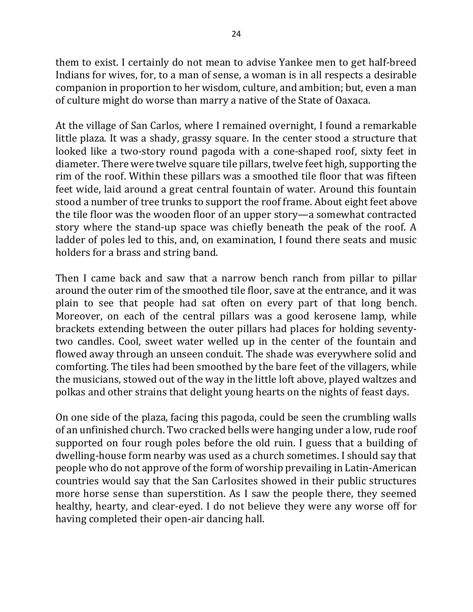them to exist. I certainly do not mean to advise Yankee men to get half-breed Indians for wives, for, to a man of sense, a woman is in all respects a desirable companion in proportion to her wisdom, culture, and ambition; but, even a man of culture might do worse than marry a native of the State of Oaxaca.

At the village of San Carlos, where I remained overnight, I found a remarkable little plaza. It was a shady, grassy square. In the center stood a structure that looked like a two-story round pagoda with a cone-shaped roof, sixty feet in diameter. There were twelve square tile pillars, twelve feet high, supporting the rim of the roof. Within these pillars was a smoothed tile floor that was fifteen feet wide, laid around a great central fountain of water. Around this fountain stood a number of tree trunks to support the roof frame. About eight feet above the tile floor was the wooden floor of an upper story—a somewhat contracted story where the stand-up space was chiefly beneath the peak of the roof. A ladder of poles led to this, and, on examination, I found there seats and music holders for a brass and string band.

Then I came back and saw that a narrow bench ranch from pillar to pillar around the outer rim of the smoothed tile floor, save at the entrance, and it was plain to see that people had sat often on every part of that long bench. Moreover, on each of the central pillars was a good kerosene lamp, while brackets extending between the outer pillars had places for holding seventytwo candles. Cool, sweet water welled up in the center of the fountain and flowed away through an unseen conduit. The shade was everywhere solid and comforting. The tiles had been smoothed by the bare feet of the villagers, while the musicians, stowed out of the way in the little loft above, played waltzes and polkas and other strains that delight young hearts on the nights of feast days.

On one side of the plaza, facing this pagoda, could be seen the crumbling walls of an unfinished church. Two cracked bells were hanging under a low, rude roof supported on four rough poles before the old ruin. I guess that a building of dwelling-house form nearby was used as a church sometimes. I should say that people who do not approve of the form of worship prevailing in Latin-American countries would say that the San Carlosites showed in their public structures more horse sense than superstition. As I saw the people there, they seemed healthy, hearty, and clear-eyed. I do not believe they were any worse off for having completed their open-air dancing hall.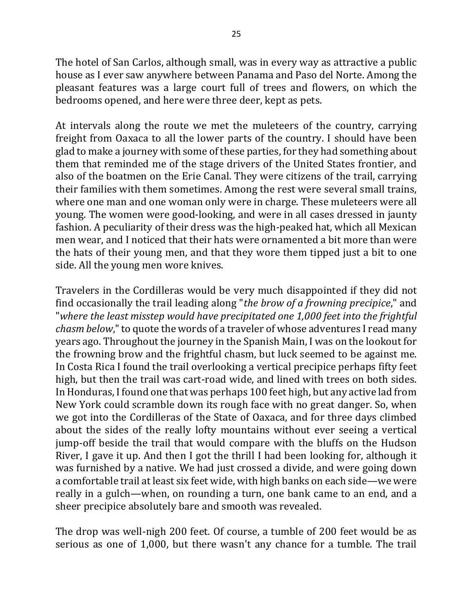The hotel of San Carlos, although small, was in every way as attractive a public house as I ever saw anywhere between Panama and Paso del Norte. Among the pleasant features was a large court full of trees and flowers, on which the bedrooms opened, and here were three deer, kept as pets.

At intervals along the route we met the muleteers of the country, carrying freight from Oaxaca to all the lower parts of the country. I should have been glad to make a journey with some of these parties, for they had something about them that reminded me of the stage drivers of the United States frontier, and also of the boatmen on the Erie Canal. They were citizens of the trail, carrying their families with them sometimes. Among the rest were several small trains, where one man and one woman only were in charge. These muleteers were all young. The women were good-looking, and were in all cases dressed in jaunty fashion. A peculiarity of their dress was the high-peaked hat, which all Mexican men wear, and I noticed that their hats were ornamented a bit more than were the hats of their young men, and that they wore them tipped just a bit to one side. All the young men wore knives.

Travelers in the Cordilleras would be very much disappointed if they did not find occasionally the trail leading along "*the brow of a frowning precipice*," and "where the least misstep would have precipitated one 1,000 feet into the frightful *chasm below*," to quote the words of a traveler of whose adventures I read many years ago. Throughout the journey in the Spanish Main, I was on the lookout for the frowning brow and the frightful chasm, but luck seemed to be against me. In Costa Rica I found the trail overlooking a vertical precipice perhaps fifty feet high, but then the trail was cart-road wide, and lined with trees on both sides. In Honduras, I found one that was perhaps 100 feet high, but any active lad from New York could scramble down its rough face with no great danger. So, when we got into the Cordilleras of the State of Oaxaca, and for three days climbed about the sides of the really lofty mountains without ever seeing a vertical jump-off beside the trail that would compare with the bluffs on the Hudson River, I gave it up. And then I got the thrill I had been looking for, although it was furnished by a native. We had just crossed a divide, and were going down a comfortable trail at least six feet wide, with high banks on each side—we were really in a gulch—when, on rounding a turn, one bank came to an end, and a sheer precipice absolutely bare and smooth was revealed.

The drop was well-nigh 200 feet. Of course, a tumble of 200 feet would be as serious as one of 1,000, but there wasn't any chance for a tumble. The trail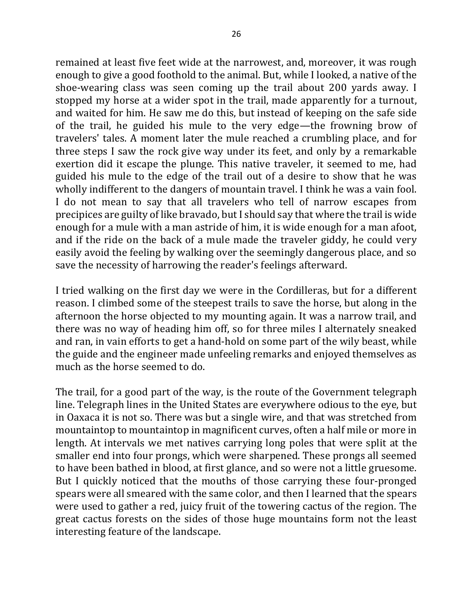remained at least five feet wide at the narrowest, and, moreover, it was rough enough to give a good foothold to the animal. But, while I looked, a native of the shoe-wearing class was seen coming up the trail about 200 yards away. I stopped my horse at a wider spot in the trail, made apparently for a turnout, and waited for him. He saw me do this, but instead of keeping on the safe side of the trail, he guided his mule to the very edge—the frowning brow of travelers' tales. A moment later the mule reached a crumbling place, and for three steps I saw the rock give way under its feet, and only by a remarkable exertion did it escape the plunge. This native traveler, it seemed to me, had guided his mule to the edge of the trail out of a desire to show that he was wholly indifferent to the dangers of mountain travel. I think he was a vain fool. I do not mean to say that all travelers who tell of narrow escapes from precipices are guilty of like bravado, but I should say that where the trail is wide enough for a mule with a man astride of him, it is wide enough for a man afoot, and if the ride on the back of a mule made the traveler giddy, he could very easily avoid the feeling by walking over the seemingly dangerous place, and so save the necessity of harrowing the reader's feelings afterward.

I tried walking on the first day we were in the Cordilleras, but for a different reason. I climbed some of the steepest trails to save the horse, but along in the afternoon the horse objected to my mounting again. It was a narrow trail, and there was no way of heading him off, so for three miles I alternately sneaked and ran, in vain efforts to get a hand-hold on some part of the wily beast, while the guide and the engineer made unfeeling remarks and enjoyed themselves as much as the horse seemed to do.

The trail, for a good part of the way, is the route of the Government telegraph line. Telegraph lines in the United States are everywhere odious to the eye, but in Oaxaca it is not so. There was but a single wire, and that was stretched from mountaintop to mountaintop in magnificent curves, often a half mile or more in length. At intervals we met natives carrying long poles that were split at the smaller end into four prongs, which were sharpened. These prongs all seemed to have been bathed in blood, at first glance, and so were not a little gruesome. But I quickly noticed that the mouths of those carrying these four-pronged spears were all smeared with the same color, and then I learned that the spears were used to gather a red, juicy fruit of the towering cactus of the region. The great cactus forests on the sides of those huge mountains form not the least interesting feature of the landscape.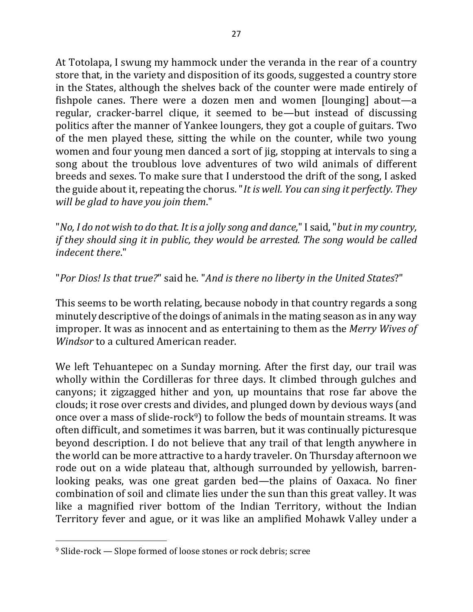At Totolapa, I swung my hammock under the veranda in the rear of a country store that, in the variety and disposition of its goods, suggested a country store in the States, although the shelves back of the counter were made entirely of fishpole canes. There were a dozen men and women [lounging] about—a regular, cracker-barrel clique, it seemed to be—but instead of discussing politics after the manner of Yankee loungers, they got a couple of guitars. Two of the men played these, sitting the while on the counter, while two young women and four young men danced a sort of jig, stopping at intervals to sing a song about the troublous love adventures of two wild animals of different breeds and sexes. To make sure that I understood the drift of the song, I asked the guide about it, repeating the chorus. "*It is well. You can sing it perfectly. They will be glad to have you join them.*"

"*No, I do not wish to do that. It is a jolly song and dance,*" I said, "*but in my country, if they should sing it in public, they would be arrested. The song would be called indecent there*."

"Por Dios! Is that true?" said he. "And is there no liberty in the United States?"

This seems to be worth relating, because nobody in that country regards a song minutely descriptive of the doings of animals in the mating season as in any way improper. It was as innocent and as entertaining to them as the *Merry Wives of Windsor* to a cultured American reader.

We left Tehuantepec on a Sunday morning. After the first day, our trail was wholly within the Cordilleras for three days. It climbed through gulches and canyons; it zigzagged hither and yon, up mountains that rose far above the clouds; it rose over crests and divides, and plunged down by devious ways (and once over a mass of slide-rock<sup>9</sup>) to follow the beds of mountain streams. It was often difficult, and sometimes it was barren, but it was continually picturesque beyond description. I do not believe that any trail of that length anywhere in the world can be more attractive to a hardy traveler. On Thursday afternoon we rode out on a wide plateau that, although surrounded by yellowish, barrenlooking peaks, was one great garden bed—the plains of Oaxaca. No finer combination of soil and climate lies under the sun than this great valley. It was like a magnified river bottom of the Indian Territory, without the Indian Territory fever and ague, or it was like an amplified Mohawk Valley under a

 $\overline{\phantom{a}}$ 

 $9$  Slide-rock  $-$  Slope formed of loose stones or rock debris; scree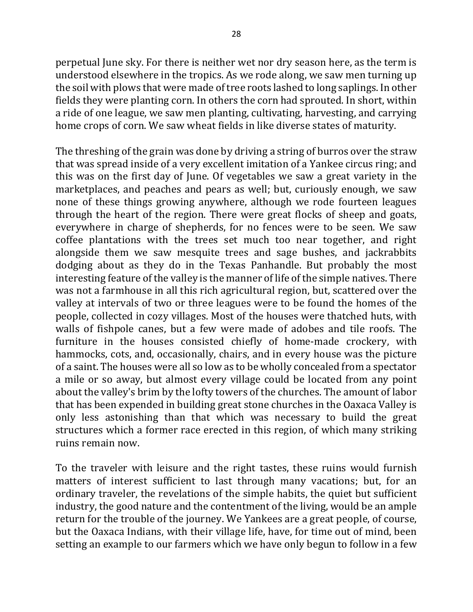perpetual June sky. For there is neither wet nor dry season here, as the term is understood elsewhere in the tropics. As we rode along, we saw men turning up the soil with plows that were made of tree roots lashed to long saplings. In other fields they were planting corn. In others the corn had sprouted. In short, within a ride of one league, we saw men planting, cultivating, harvesting, and carrying home crops of corn. We saw wheat fields in like diverse states of maturity.

The threshing of the grain was done by driving a string of burros over the straw that was spread inside of a very excellent imitation of a Yankee circus ring; and this was on the first day of June. Of vegetables we saw a great variety in the marketplaces, and peaches and pears as well; but, curiously enough, we saw none of these things growing anywhere, although we rode fourteen leagues through the heart of the region. There were great flocks of sheep and goats, everywhere in charge of shepherds, for no fences were to be seen. We saw coffee plantations with the trees set much too near together, and right alongside them we saw mesquite trees and sage bushes, and jackrabbits dodging about as they do in the Texas Panhandle. But probably the most interesting feature of the valley is the manner of life of the simple natives. There was not a farmhouse in all this rich agricultural region, but, scattered over the valley at intervals of two or three leagues were to be found the homes of the people, collected in cozy villages. Most of the houses were thatched huts, with walls of fishpole canes, but a few were made of adobes and tile roofs. The furniture in the houses consisted chiefly of home-made crockery, with hammocks, cots, and, occasionally, chairs, and in every house was the picture of a saint. The houses were all so low as to be wholly concealed from a spectator a mile or so away, but almost every village could be located from any point about the valley's brim by the lofty towers of the churches. The amount of labor that has been expended in building great stone churches in the Oaxaca Valley is only less astonishing than that which was necessary to build the great structures which a former race erected in this region, of which many striking ruins remain now.

To the traveler with leisure and the right tastes, these ruins would furnish matters of interest sufficient to last through many vacations; but, for an ordinary traveler, the revelations of the simple habits, the quiet but sufficient industry, the good nature and the contentment of the living, would be an ample return for the trouble of the journey. We Yankees are a great people, of course, but the Oaxaca Indians, with their village life, have, for time out of mind, been setting an example to our farmers which we have only begun to follow in a few